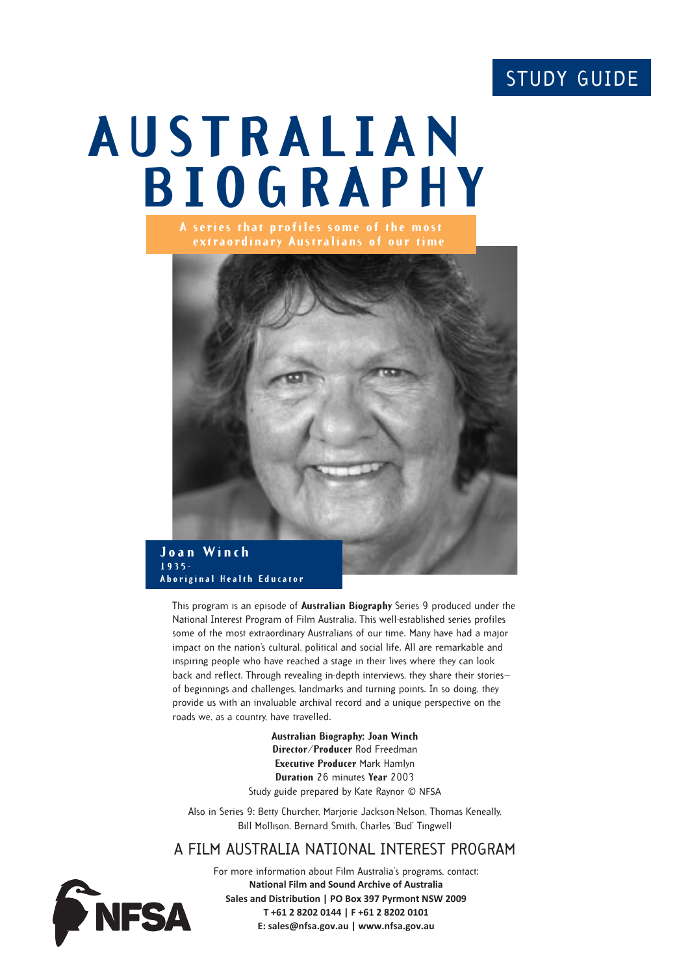# STUDY GUIDE

# **AUSTRALIAN BIOGRAPHY A series that profiles some of the most**



**Aboriginal Health Educator**

This program is an episode of **Australian Biography** Series 9 produced under the National Interest Program of Film Australia. This well-established series profiles some of the most extraordinary Australians of our time. Many have had a major impact on the nation's cultural, political and social life. All are remarkable and inspiring people who have reached a stage in their lives where they can look back and reflect. Through revealing in-depth interviews, they share their stories of beginnings and challenges, landmarks and turning points. In so doing, they provide us with an invaluable archival record and a unique perspective on the roads we, as a country, have travelled.

> **Australian Biography: Joan Winch Director/Producer** Rod Freedman **Executive Producer** Mark Hamlyn **Duration** 26 minutes **Year** 2003 Study guide prepared by Kate Raynor © NFSA

Also in Series 9: Betty Churcher, Marjorie Jackson-Nelson, Thomas Keneally, Bill Mollison, Bernard Smith, Charles 'Bud' Tingwell

# A FILM AUSTRALIA NATIONAL INTEREST PROGRAM



For more information about Film Australia's programs, contact: **National Film and Sound Archive of Australia Sales and Distribution | PO Box 397 Pyrmont NSW 2009 T +61 2 8202 0144 | F +61 2 8202 0101 E: sales@nfsa.gov.au | www.nfsa.gov.au**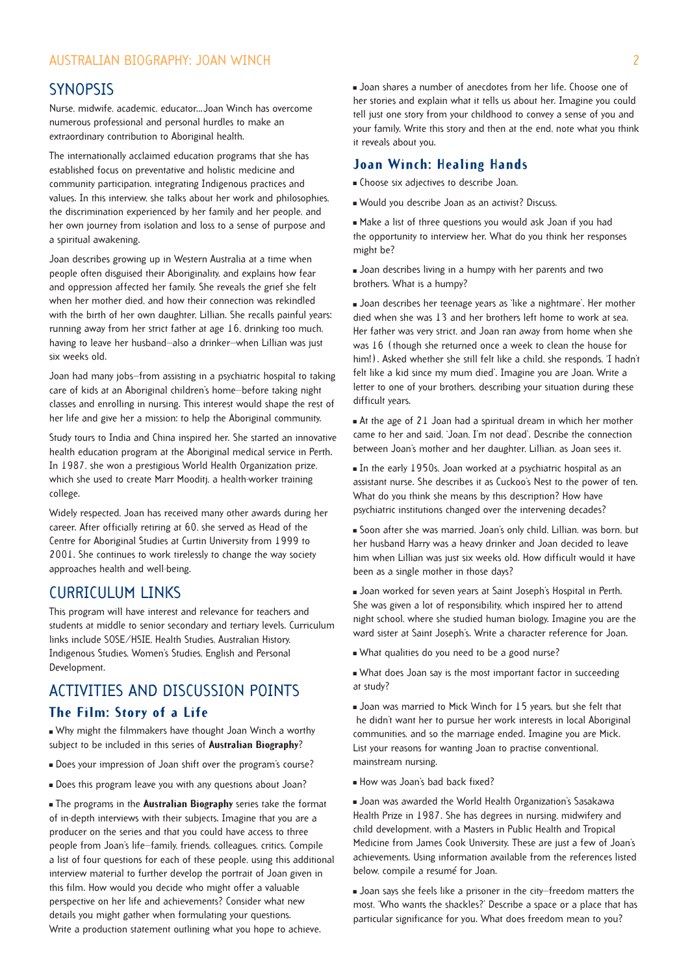#### AUSTRALIAN BIOGRAPHY: JOAN WINCH 2

### **SYNOPSIS**

Nurse, midwife, academic, educator...Joan Winch has overcome numerous professional and personal hurdles to make an extraordinary contribution to Aboriginal health.

The internationally acclaimed education programs that she has established focus on preventative and holistic medicine and community participation, integrating Indigenous practices and values. In this interview, she talks about her work and philosophies, the discrimination experienced by her family and her people, and her own journey from isolation and loss to a sense of purpose and a spiritual awakening.

Joan describes growing up in Western Australia at a time when people often disguised their Aboriginality, and explains how fear and oppression affected her family. She reveals the grief she felt when her mother died, and how their connection was rekindled with the birth of her own daughter, Lillian. She recalls painful years: running away from her strict father at age 16, drinking too much, having to leave her husband—also a drinker—when Lillian was just six weeks old.

Joan had many jobs—from assisting in a psychiatric hospital to taking care of kids at an Aboriginal children's home—before taking night classes and enrolling in nursing. This interest would shape the rest of her life and give her a mission: to help the Aboriginal community.

Study tours to India and China inspired her. She started an innovative health education program at the Aboriginal medical service in Perth. In 1987, she won a prestigious World Health Organization prize, which she used to create Marr Mooditj, a health-worker training college.

Widely respected, Joan has received many other awards during her career. After officially retiring at 60, she served as Head of the Centre for Aboriginal Studies at Curtin University from 1999 to 2001. She continues to work tirelessly to change the way society approaches health and well-being.

# CURRICULUM LINKS

This program will have interest and relevance for teachers and students at middle to senior secondary and tertiary levels. Curriculum links include SOSE/HSIE, Health Studies, Australian History, Indigenous Studies, Women's Studies, English and Personal Development.

# ACTIVITIES AND DISCUSSION POINTS **The Film: Story of a Life**

 Why might the filmmakers have thought Joan Winch a worthy subject to be included in this series of **Australian Biography**?

- Does your impression of Joan shift over the program's course?
- Does this program leave you with any questions about Joan?

 The programs in the **Australian Biography** series take the format of in-depth interviews with their subjects. Imagine that you are a producer on the series and that you could have access to three people from Joan's life—family, friends, colleagues, critics. Compile a list of four questions for each of these people, using this additional interview material to further develop the portrait of Joan given in this film. How would you decide who might offer a valuable perspective on her life and achievements? Consider what new details you might gather when formulating your questions. Write a production statement outlining what you hope to achieve.

 Joan shares a number of anecdotes from her life. Choose one of her stories and explain what it tells us about her. Imagine you could tell just one story from your childhood to convey a sense of you and your family. Write this story and then at the end, note what you think it reveals about you.

#### **Joan Winch: Healing Hands**

- Choose six adjectives to describe Joan.
- Would you describe Joan as an activist? Discuss.

 Make a list of three questions you would ask Joan if you had the opportunity to interview her. What do you think her responses might be?

 Joan describes living in a humpy with her parents and two brothers. What is a humpy?

 Joan describes her teenage years as 'like a nightmare'. Her mother died when she was 13 and her brothers left home to work at sea. Her father was very strict, and Joan ran away from home when she was 16 (though she returned once a week to clean the house for him!). Asked whether she still felt like a child, she responds, 'I hadn't felt like a kid since my mum died'. Imagine you are Joan. Write a letter to one of your brothers, describing your situation during these difficult years.

 At the age of 21 Joan had a spiritual dream in which her mother came to her and said, 'Joan, I'm not dead'. Describe the connection between Joan's mother and her daughter, Lillian, as Joan sees it.

 In the early 1950s, Joan worked at a psychiatric hospital as an assistant nurse. She describes it as Cuckoo's Nest to the power of ten. What do you think she means by this description? How have psychiatric institutions changed over the intervening decades?

 Soon after she was married, Joan's only child, Lillian, was born, but her husband Harry was a heavy drinker and Joan decided to leave him when Lillian was just six weeks old. How difficult would it have been as a single mother in those days?

 Joan worked for seven years at Saint Joseph's Hospital in Perth. She was given a lot of responsibility, which inspired her to attend night school, where she studied human biology. Imagine you are the ward sister at Saint Joseph's. Write a character reference for Joan.

What qualities do you need to be a good nurse?

 What does Joan say is the most important factor in succeeding at study?

 Joan was married to Mick Winch for 15 years, but she felt that he didn't want her to pursue her work interests in local Aboriginal communities, and so the marriage ended. Imagine you are Mick. List your reasons for wanting Joan to practise conventional, mainstream nursing.

How was Joan's bad back fixed?

 Joan was awarded the World Health Organization's Sasakawa Health Prize in 1987. She has degrees in nursing, midwifery and child development, with a Masters in Public Health and Tropical Medicine from James Cook University. These are just a few of Joan's achievements. Using information available from the references listed below, compile a resumé for Joan.

 Joan says she feels like a prisoner in the city—freedom matters the most, 'Who wants the shackles?' Describe a space or a place that has particular significance for you. What does freedom mean to you?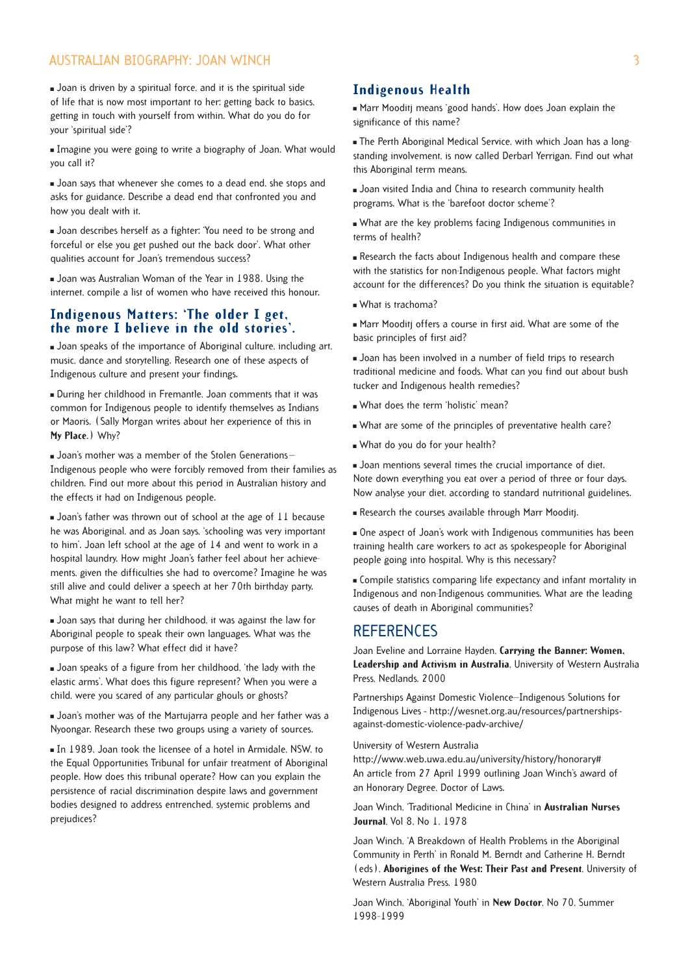#### AUSTRALIAN BIOGRAPHY: JOAN WINCH 3

 Joan is driven by a spiritual force, and it is the spiritual side of life that is now most important to her: getting back to basics, getting in touch with yourself from within. What do you do for your 'spiritual side'?

 Imagine you were going to write a biography of Joan. What would you call it?

**Joan says that whenever she comes to a dead end, she stops and** asks for guidance. Describe a dead end that confronted you and how you dealt with it.

 Joan describes herself as a fighter: 'You need to be strong and forceful or else you get pushed out the back door'. What other qualities account for Joan's tremendous success?

 Joan was Australian Woman of the Year in 1988. Using the internet, compile a list of women who have received this honour.

#### **Indigenous Matters: 'The older I get, the more I believe in the old stories'.**

 Joan speaks of the importance of Aboriginal culture, including art, music, dance and storytelling. Research one of these aspects of Indigenous culture and present your findings.

 During her childhood in Fremantle, Joan comments that it was common for Indigenous people to identify themselves as Indians or Maoris. (Sally Morgan writes about her experience of this in **My Place**.) Why?

■ Joan's mother was a member of the Stolen Generations-Indigenous people who were forcibly removed from their families as children. Find out more about this period in Australian history and the effects it had on Indigenous people.

 Joan's father was thrown out of school at the age of 11 because he was Aboriginal, and as Joan says, 'schooling was very important to him'. Joan left school at the age of 14 and went to work in a hospital laundry. How might Joan's father feel about her achievements, given the difficulties she had to overcome? Imagine he was still alive and could deliver a speech at her 70th birthday party. What might he want to tell her?

 Joan says that during her childhood, it was against the law for Aboriginal people to speak their own languages. What was the purpose of this law? What effect did it have?

 Joan speaks of a figure from her childhood, 'the lady with the elastic arms'. What does this figure represent? When you were a child, were you scared of any particular ghouls or ghosts?

 Joan's mother was of the Martujarra people and her father was a Nyoongar. Research these two groups using a variety of sources.

 In 1989, Joan took the licensee of a hotel in Armidale, NSW, to the Equal Opportunities Tribunal for unfair treatment of Aboriginal people. How does this tribunal operate? How can you explain the persistence of racial discrimination despite laws and government bodies designed to address entrenched, systemic problems and prejudices?

#### **Indigenous Health**

 Marr Mooditj means 'good hands'. How does Joan explain the significance of this name?

 The Perth Aboriginal Medical Service, with which Joan has a longstanding involvement, is now called Derbarl Yerrigan. Find out what this Aboriginal term means.

 Joan visited India and China to research community health programs. What is the 'barefoot doctor scheme'?

 What are the key problems facing Indigenous communities in terms of health?

 Research the facts about Indigenous health and compare these with the statistics for non-Indigenous people. What factors might account for the differences? Do you think the situation is equitable?

What is trachoma?

 Marr Mooditj offers a course in first aid. What are some of the basic principles of first aid?

 Joan has been involved in a number of field trips to research traditional medicine and foods. What can you find out about bush tucker and Indigenous health remedies?

What does the term 'holistic' mean?

What are some of the principles of preventative health care?

What do you do for your health?

 Joan mentions several times the crucial importance of diet. Note down everything you eat over a period of three or four days. Now analyse your diet, according to standard nutritional guidelines.

Research the courses available through Marr Mooditj.

 One aspect of Joan's work with Indigenous communities has been training health care workers to act as spokespeople for Aboriginal people going into hospital. Why is this necessary?

 Compile statistics comparing life expectancy and infant mortality in Indigenous and non-Indigenous communities. What are the leading causes of death in Aboriginal communities?

## **REFERENCES**

Joan Eveline and Lorraine Hayden, **Carrying the Banner: Women, Leadership and Activism in Australia**, University of Western Australia Press, Nedlands, 2000

Partnerships Against Domestic Violence—Indigenous Solutions for Indigenous Lives - http://wesnet.org.au/resources/partnershipsagainst-domestic-violence-padv-archive/

#### University of Western Australia

http://www.web.uwa.edu.au/university/history/honorary# An article from 27 April 1999 outlining Joan Winch's award of an Honorary Degree, Doctor of Laws.

Joan Winch, 'Traditional Medicine in China' in **Australian Nurses Journal**, Vol 8, No 1, 1978

Joan Winch, 'A Breakdown of Health Problems in the Aboriginal Community in Perth' in Ronald M. Berndt and Catherine H. Berndt (eds), **Aborigines of the West: Their Past and Present**, University of Western Australia Press, 1980

Joan Winch, 'Aboriginal Youth' in **New Doctor**, No 70, Summer 1998–1999